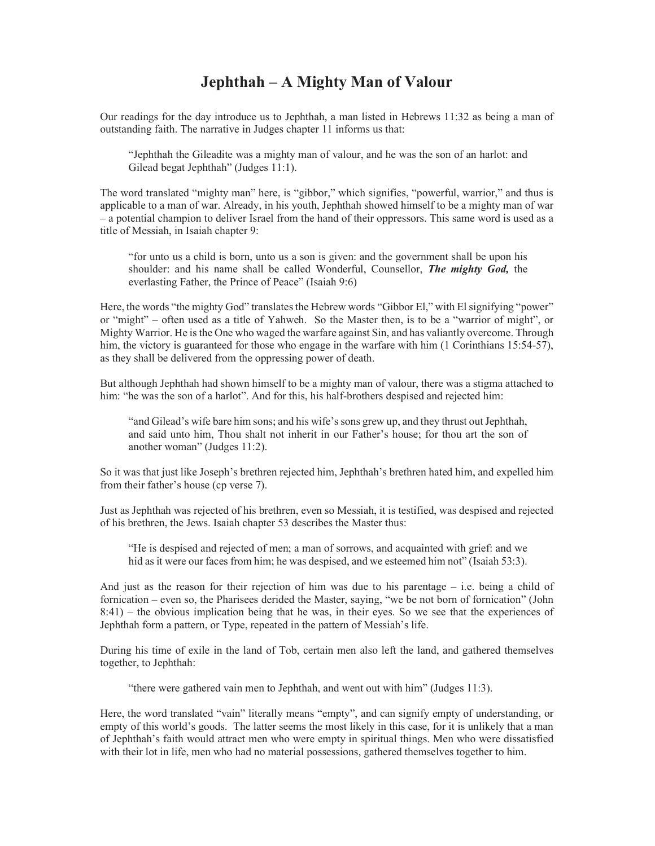## Jephthah – A Mighty Man of Valour

Our readings for the day introduce us to Jephthah, a man listed in Hebrews 11:32 as being a man of outstanding faith. The narrative in Judges chapter 11 informs us that:

"Jephthah the Gileadite was a mighty man of valour, and he was the son of an harlot: and Gilead begat Jephthah" (Judges 11:1).

The word translated "mighty man" here, is "gibbor," which signifies, "powerful, warrior," and thus is applicable to a man of war. Already, in his youth, Jephthah showed himself to be a mighty man of war – a potential champion to deliver Israel from the hand of their oppressors. This same word is used as a title of Messiah, in Isaiah chapter 9:

"for unto us a child is born, unto us a son is given: and the government shall be upon his shoulder: and his name shall be called Wonderful, Counsellor, The mighty God, the everlasting Father, the Prince of Peace" (Isaiah 9:6)

Here, the words "the mighty God" translates the Hebrew words "Gibbor El," with El signifying "power" or "might" – often used as a title of Yahweh. So the Master then, is to be a "warrior of might", or Mighty Warrior. He is the One who waged the warfare against Sin, and has valiantly overcome. Through him, the victory is guaranteed for those who engage in the warfare with him (1 Corinthians 15:54-57), as they shall be delivered from the oppressing power of death.

But although Jephthah had shown himself to be a mighty man of valour, there was a stigma attached to him: "he was the son of a harlot". And for this, his half-brothers despised and rejected him:

"and Gilead's wife bare him sons; and his wife's sons grew up, and they thrust out Jephthah, and said unto him, Thou shalt not inherit in our Father's house; for thou art the son of another woman" (Judges 11:2).

So it was that just like Joseph's brethren rejected him, Jephthah's brethren hated him, and expelled him from their father's house (cp verse 7).

Just as Jephthah was rejected of his brethren, even so Messiah, it is testified, was despised and rejected of his brethren, the Jews. Isaiah chapter 53 describes the Master thus:

"He is despised and rejected of men; a man of sorrows, and acquainted with grief: and we hid as it were our faces from him; he was despised, and we esteemed him not" (Isaiah 53:3).

And just as the reason for their rejection of him was due to his parentage – i.e. being a child of fornication – even so, the Pharisees derided the Master, saying, "we be not born of fornication" (John 8:41) – the obvious implication being that he was, in their eyes. So we see that the experiences of Jephthah form a pattern, or Type, repeated in the pattern of Messiah's life.

During his time of exile in the land of Tob, certain men also left the land, and gathered themselves together, to Jephthah:

"there were gathered vain men to Jephthah, and went out with him" (Judges 11:3).

Here, the word translated "vain" literally means "empty", and can signify empty of understanding, or empty of this world's goods. The latter seems the most likely in this case, for it is unlikely that a man of Jephthah's faith would attract men who were empty in spiritual things. Men who were dissatisfied with their lot in life, men who had no material possessions, gathered themselves together to him.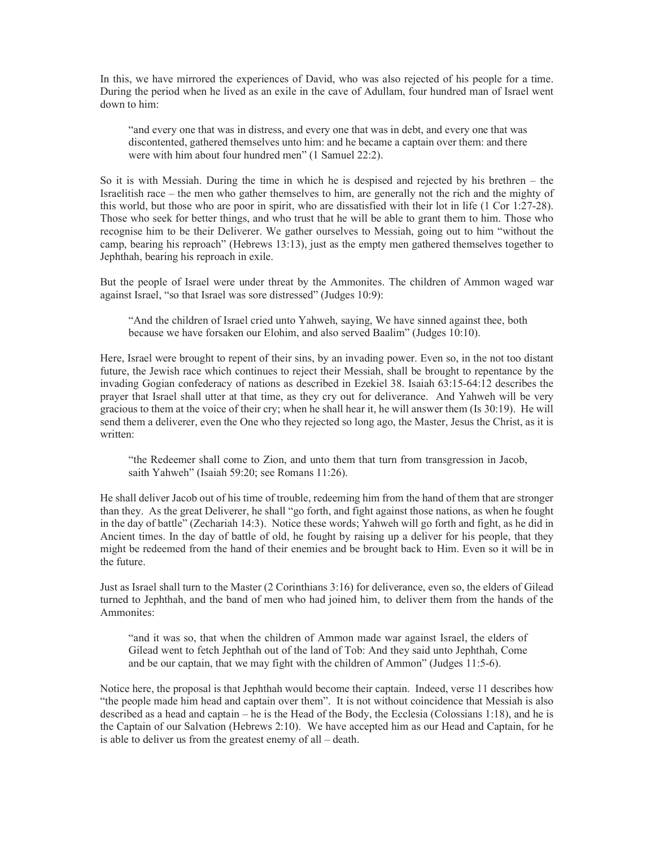In this, we have mirrored the experiences of David, who was also rejected of his people for a time. During the period when he lived as an exile in the cave of Adullam, four hundred man of Israel went down to him:

"and every one that was in distress, and every one that was in debt, and every one that was discontented, gathered themselves unto him: and he became a captain over them: and there were with him about four hundred men" (1 Samuel 22:2).

So it is with Messiah. During the time in which he is despised and rejected by his brethren – the Israelitish race – the men who gather themselves to him, are generally not the rich and the mighty of this world, but those who are poor in spirit, who are dissatisfied with their lot in life (1 Cor 1:27-28). Those who seek for better things, and who trust that he will be able to grant them to him. Those who recognise him to be their Deliverer. We gather ourselves to Messiah, going out to him "without the camp, bearing his reproach" (Hebrews 13:13), just as the empty men gathered themselves together to Jephthah, bearing his reproach in exile.

But the people of Israel were under threat by the Ammonites. The children of Ammon waged war against Israel, "so that Israel was sore distressed" (Judges 10:9):

"And the children of Israel cried unto Yahweh, saying, We have sinned against thee, both because we have forsaken our Elohim, and also served Baalim" (Judges 10:10).

Here, Israel were brought to repent of their sins, by an invading power. Even so, in the not too distant future, the Jewish race which continues to reject their Messiah, shall be brought to repentance by the invading Gogian confederacy of nations as described in Ezekiel 38. Isaiah 63:15-64:12 describes the prayer that Israel shall utter at that time, as they cry out for deliverance. And Yahweh will be very gracious to them at the voice of their cry; when he shall hear it, he will answer them (Is 30:19). He will send them a deliverer, even the One who they rejected so long ago, the Master, Jesus the Christ, as it is written:

"the Redeemer shall come to Zion, and unto them that turn from transgression in Jacob, saith Yahweh" (Isaiah 59:20; see Romans 11:26).

He shall deliver Jacob out of his time of trouble, redeeming him from the hand of them that are stronger than they. As the great Deliverer, he shall "go forth, and fight against those nations, as when he fought in the day of battle" (Zechariah 14:3). Notice these words; Yahweh will go forth and fight, as he did in Ancient times. In the day of battle of old, he fought by raising up a deliver for his people, that they might be redeemed from the hand of their enemies and be brought back to Him. Even so it will be in the future.

Just as Israel shall turn to the Master (2 Corinthians 3:16) for deliverance, even so, the elders of Gilead turned to Jephthah, and the band of men who had joined him, to deliver them from the hands of the Ammonites:

"and it was so, that when the children of Ammon made war against Israel, the elders of Gilead went to fetch Jephthah out of the land of Tob: And they said unto Jephthah, Come and be our captain, that we may fight with the children of Ammon" (Judges 11:5-6).

Notice here, the proposal is that Jephthah would become their captain. Indeed, verse 11 describes how "the people made him head and captain over them". It is not without coincidence that Messiah is also described as a head and captain – he is the Head of the Body, the Ecclesia (Colossians 1:18), and he is the Captain of our Salvation (Hebrews 2:10). We have accepted him as our Head and Captain, for he is able to deliver us from the greatest enemy of all – death.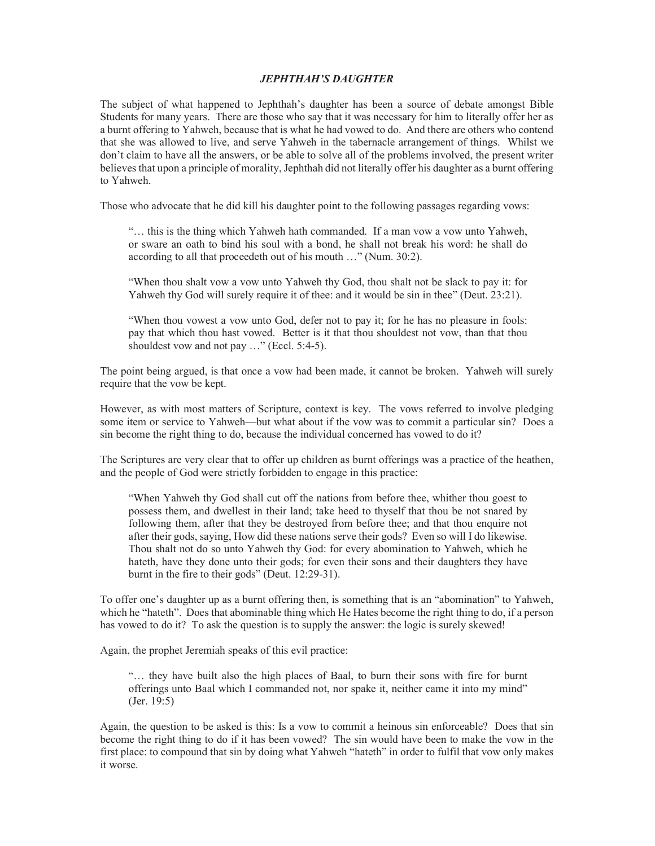## JEPHTHAH'S DAUGHTER

The subject of what happened to Jephthah's daughter has been a source of debate amongst Bible Students for many years. There are those who say that it was necessary for him to literally offer her as a burnt offering to Yahweh, because that is what he had vowed to do. And there are others who contend that she was allowed to live, and serve Yahweh in the tabernacle arrangement of things. Whilst we don't claim to have all the answers, or be able to solve all of the problems involved, the present writer believes that upon a principle of morality, Jephthah did not literally offer his daughter as a burnt offering to Yahweh.

Those who advocate that he did kill his daughter point to the following passages regarding vows:

"… this is the thing which Yahweh hath commanded. If a man vow a vow unto Yahweh, or sware an oath to bind his soul with a bond, he shall not break his word: he shall do according to all that proceedeth out of his mouth …" (Num. 30:2).

"When thou shalt vow a vow unto Yahweh thy God, thou shalt not be slack to pay it: for Yahweh thy God will surely require it of thee: and it would be sin in thee" (Deut. 23:21).

"When thou vowest a vow unto God, defer not to pay it; for he has no pleasure in fools: pay that which thou hast vowed. Better is it that thou shouldest not vow, than that thou shouldest vow and not pay ..." (Eccl. 5:4-5).

The point being argued, is that once a vow had been made, it cannot be broken. Yahweh will surely require that the vow be kept.

However, as with most matters of Scripture, context is key. The vows referred to involve pledging some item or service to Yahweh—but what about if the vow was to commit a particular sin? Does a sin become the right thing to do, because the individual concerned has vowed to do it?

The Scriptures are very clear that to offer up children as burnt offerings was a practice of the heathen, and the people of God were strictly forbidden to engage in this practice:

"When Yahweh thy God shall cut off the nations from before thee, whither thou goest to possess them, and dwellest in their land; take heed to thyself that thou be not snared by following them, after that they be destroyed from before thee; and that thou enquire not after their gods, saying, How did these nations serve their gods? Even so will I do likewise. Thou shalt not do so unto Yahweh thy God: for every abomination to Yahweh, which he hateth, have they done unto their gods; for even their sons and their daughters they have burnt in the fire to their gods" (Deut. 12:29-31).

To offer one's daughter up as a burnt offering then, is something that is an "abomination" to Yahweh, which he "hateth". Does that abominable thing which He Hates become the right thing to do, if a person has vowed to do it? To ask the question is to supply the answer: the logic is surely skewed!

Again, the prophet Jeremiah speaks of this evil practice:

"… they have built also the high places of Baal, to burn their sons with fire for burnt offerings unto Baal which I commanded not, nor spake it, neither came it into my mind" (Jer. 19:5)

Again, the question to be asked is this: Is a vow to commit a heinous sin enforceable? Does that sin become the right thing to do if it has been vowed? The sin would have been to make the vow in the first place: to compound that sin by doing what Yahweh "hateth" in order to fulfil that vow only makes it worse.